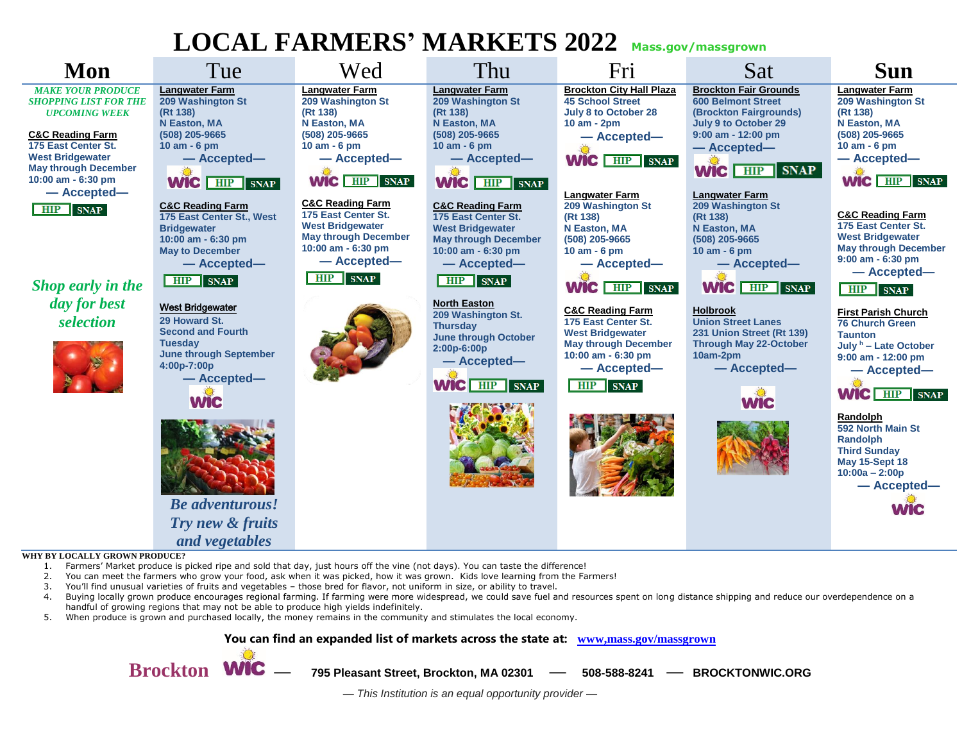## **LOCAL FARMERS' MARKETS 2022 Mass.gov/massgrown**



- 2. You can meet the farmers who grow your food, ask when it was picked, how it was grown. Kids love learning from the Farmers!
- 3. You'll find unusual varieties of fruits and vegetables those bred for flavor, not uniform in size, or ability to travel.
- 4. Buying locally grown produce encourages regional farming. If farming were more widespread, we could save fuel and resources spent on long distance shipping and reduce our overdependence on a handful of growing regions that may not be able to produce high yields indefinitely.
- 5. When produce is grown and purchased locally, the money remains in the community and stimulates the local economy.

**You can find an expanded list of markets across the state at: [www,mass.gov/massgrown](http://www.mass.gov/files/documents/2019/05/15/Farmers-Market-Directory.pdf)**

**Brockton — 795 Pleasant Street, Brockton, MA 02301 — 508-588-8241 — BROCKTONWIC.ORG**

*— This Institution is an equal opportunity provider —*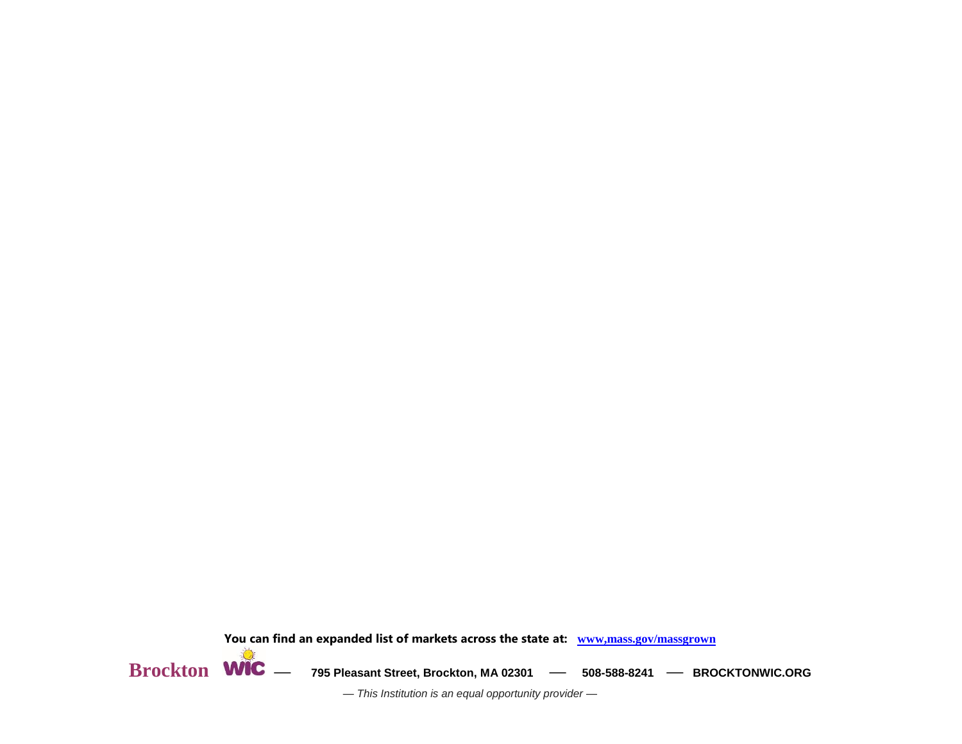



 $\textbf{Brockton}$  **WIC** — 795 Pleasant Street, Brockton, MA 02301 - 508-588-8241 - BROCKTONWIC.ORG

*— This Institution is an equal opportunity provider —*